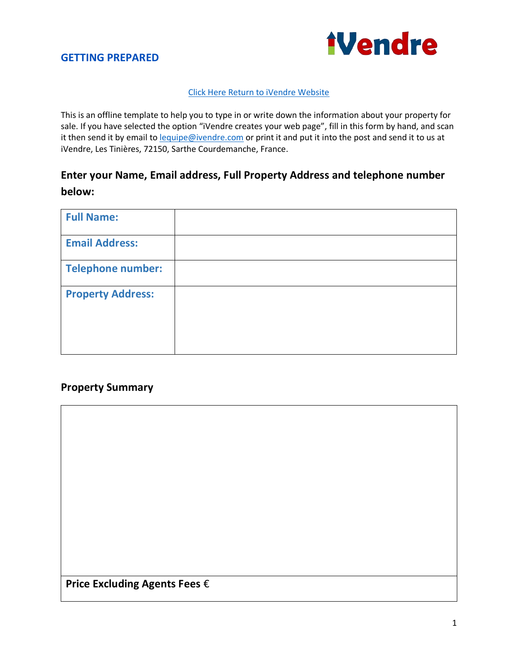

### [Click Here Return to iVendre Website](https://ivendre.com/)

This is an offline template to help you to type in or write down the information about your property for sale. If you have selected the option "iVendre creates your web page", fill in this form by hand, and scan it then send it by email to **lequipe@ivendre.com** or print it and put it into the post and send it to us at iVendre, Les Tinières, 72150, Sarthe Courdemanche, France.

# **Enter your Name, Email address, Full Property Address and telephone number below:**

| <b>Full Name:</b>        |  |
|--------------------------|--|
| <b>Email Address:</b>    |  |
| <b>Telephone number:</b> |  |
| <b>Property Address:</b> |  |

## **Property Summary**

| Price Excluding Agents Fees $\epsilon$ |  |  |
|----------------------------------------|--|--|
|                                        |  |  |
|                                        |  |  |
|                                        |  |  |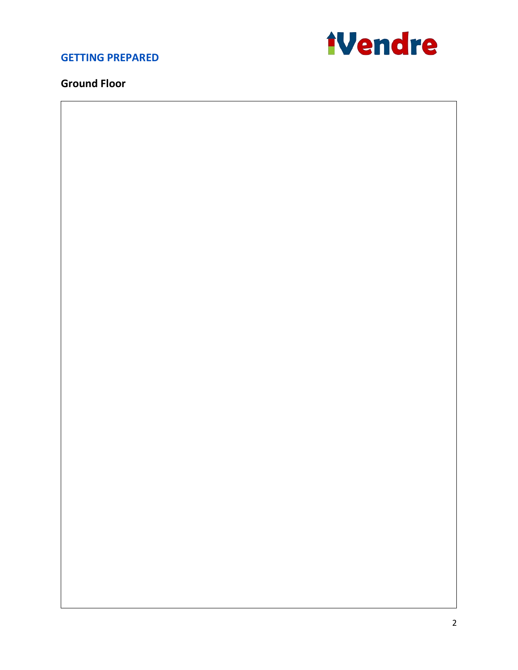

## **Ground Floor**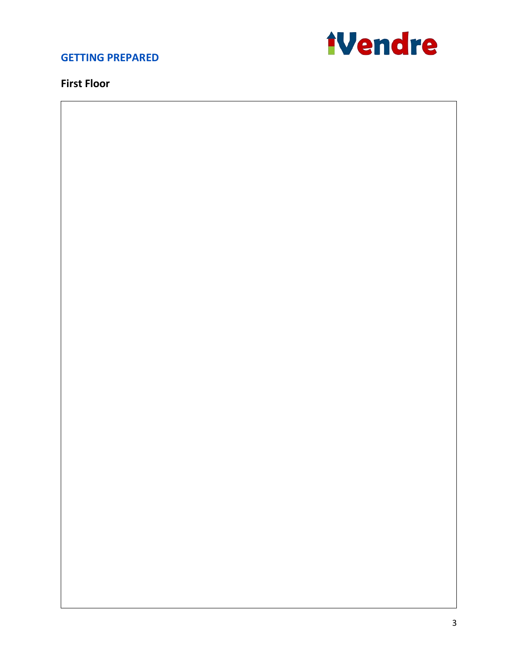

## **First Floor**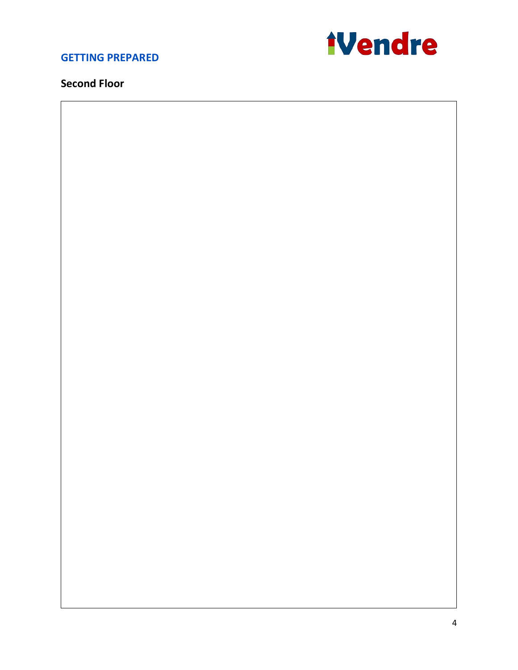

## **Second Floor**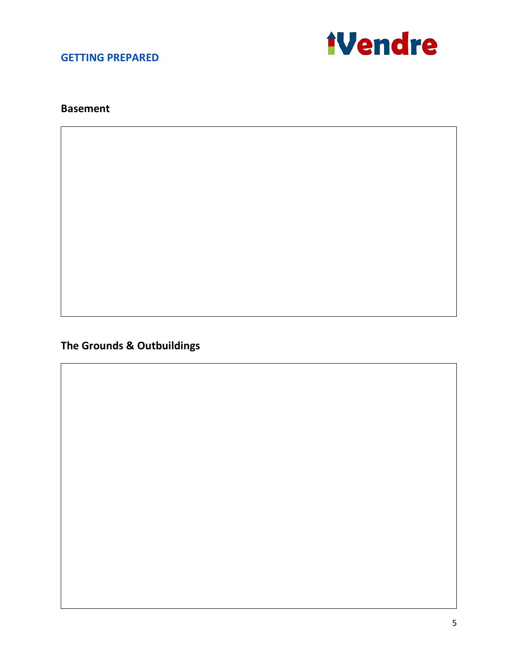

### **Basement**

**The Grounds & Outbuildings**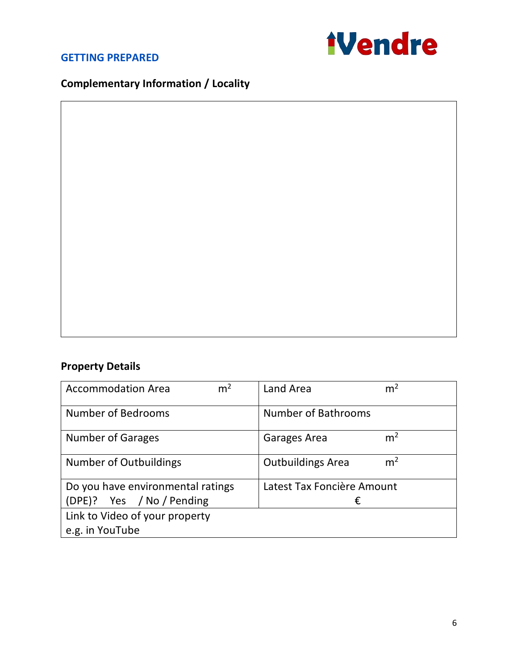

# **Complementary Information / Locality**

# **Property Details**

| m <sup>2</sup><br><b>Accommodation Area</b> | m <sup>2</sup><br>Land Area                |  |  |
|---------------------------------------------|--------------------------------------------|--|--|
| <b>Number of Bedrooms</b>                   | <b>Number of Bathrooms</b>                 |  |  |
| <b>Number of Garages</b>                    | m <sup>2</sup><br>Garages Area             |  |  |
| <b>Number of Outbuildings</b>               | m <sup>2</sup><br><b>Outbuildings Area</b> |  |  |
| Do you have environmental ratings           | Latest Tax Foncière Amount                 |  |  |
| (DPE)? Yes / No / Pending                   | €                                          |  |  |
| Link to Video of your property              |                                            |  |  |
| e.g. in YouTube                             |                                            |  |  |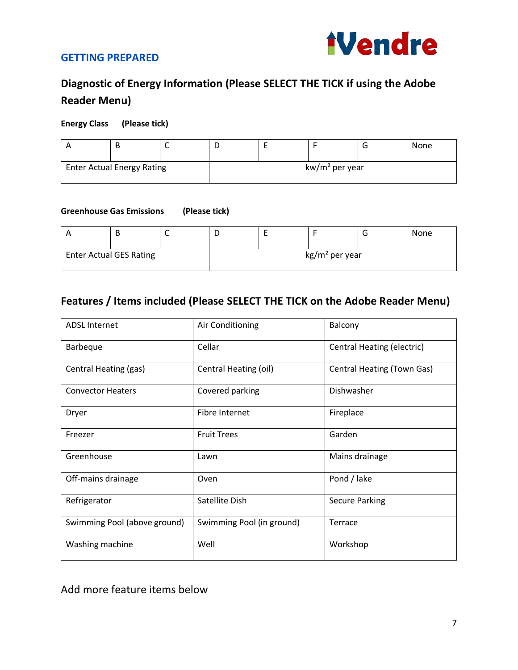

# **Diagnostic of Energy Information (Please SELECT THE TICK if using the Adobe Reader Menu)**

### **Energy Class (Please tick)**

|                                   | B |                  |  |  |  |  | None |
|-----------------------------------|---|------------------|--|--|--|--|------|
| <b>Enter Actual Energy Rating</b> |   | $kw/m2$ per year |  |  |  |  |      |

#### **Greenhouse Gas Emissions (Please tick)**

|                                | В |  |  |                            | <b>None</b> |
|--------------------------------|---|--|--|----------------------------|-------------|
| <b>Enter Actual GES Rating</b> |   |  |  | kg/m <sup>2</sup> per year |             |

## **Features / Items included (Please SELECT THE TICK on the Adobe Reader Menu)**

| <b>ADSL Internet</b>         | Air Conditioning          | Balcony                    |
|------------------------------|---------------------------|----------------------------|
| <b>Barbeque</b>              | Cellar                    | Central Heating (electric) |
| Central Heating (gas)        | Central Heating (oil)     | Central Heating (Town Gas) |
| <b>Convector Heaters</b>     | Covered parking           | Dishwasher                 |
| Dryer                        | Fibre Internet            | Fireplace                  |
| Freezer                      | <b>Fruit Trees</b>        | Garden                     |
| Greenhouse                   | Lawn                      | Mains drainage             |
| Off-mains drainage           | Oven                      | Pond / lake                |
| Refrigerator                 | Satellite Dish            | <b>Secure Parking</b>      |
| Swimming Pool (above ground) | Swimming Pool (in ground) | Terrace                    |
| Washing machine              | Well                      | Workshop                   |

Add more feature items below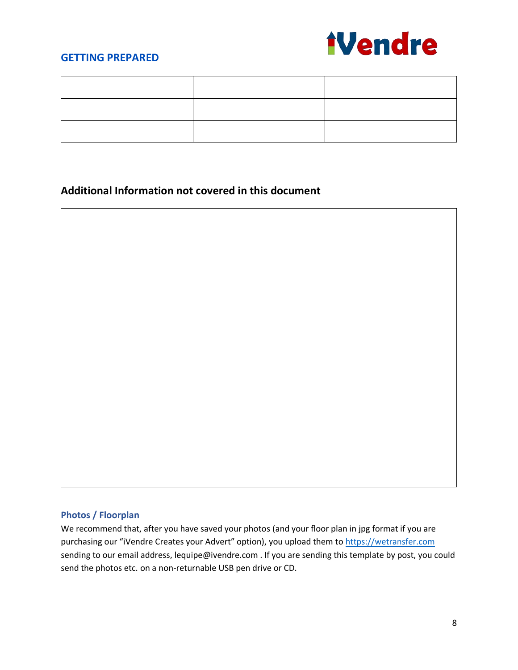

# **Additional Information not covered in this document**



### **Photos / Floorplan**

We recommend that, after you have saved your photos (and your floor plan in jpg format if you are purchasing our "iVendre Creates your Advert" option), you upload them to [https://wetransfer.com](https://wetransfer.com/) sending to our email address, lequipe@ivendre.com . If you are sending this template by post, you could send the photos etc. on a non-returnable USB pen drive or CD.